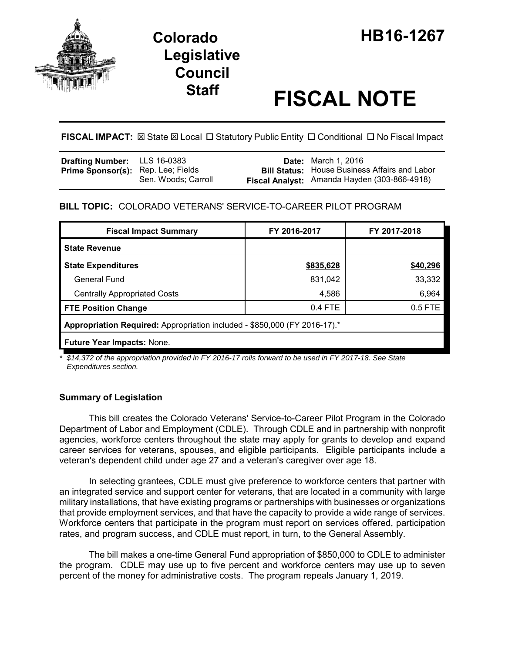

# **Legislative Council**

# **Staff FISCAL NOTE**

**FISCAL IMPACT:** ⊠ State ⊠ Local □ Statutory Public Entity □ Conditional □ No Fiscal Impact

| <b>Drafting Number:</b> LLS 16-0383       |                     | <b>Date:</b> March 1, 2016                           |
|-------------------------------------------|---------------------|------------------------------------------------------|
| <b>Prime Sponsor(s):</b> Rep. Lee; Fields |                     | <b>Bill Status:</b> House Business Affairs and Labor |
|                                           | Sen. Woods; Carroll | Fiscal Analyst: Amanda Hayden (303-866-4918)         |

## **BILL TOPIC:** COLORADO VETERANS' SERVICE-TO-CAREER PILOT PROGRAM

| <b>Fiscal Impact Summary</b>                                              | FY 2016-2017 | FY 2017-2018 |  |  |  |  |
|---------------------------------------------------------------------------|--------------|--------------|--|--|--|--|
| <b>State Revenue</b>                                                      |              |              |  |  |  |  |
| <b>State Expenditures</b>                                                 | \$835,628    | \$40,296     |  |  |  |  |
| General Fund                                                              | 831,042      | 33,332       |  |  |  |  |
| <b>Centrally Appropriated Costs</b>                                       | 4,586        | 6,964        |  |  |  |  |
| <b>FTE Position Change</b>                                                | $0.4$ FTE    | 0.5 FTE      |  |  |  |  |
| Appropriation Required: Appropriation included - \$850,000 (FY 2016-17).* |              |              |  |  |  |  |
| <b>Future Year Impacts: None.</b>                                         |              |              |  |  |  |  |

*\* \$14,372 of the appropriation provided in FY 2016-17 rolls forward to be used in FY 2017-18. See State Expenditures section.*

### **Summary of Legislation**

This bill creates the Colorado Veterans' Service-to-Career Pilot Program in the Colorado Department of Labor and Employment (CDLE). Through CDLE and in partnership with nonprofit agencies, workforce centers throughout the state may apply for grants to develop and expand career services for veterans, spouses, and eligible participants. Eligible participants include a veteran's dependent child under age 27 and a veteran's caregiver over age 18.

In selecting grantees, CDLE must give preference to workforce centers that partner with an integrated service and support center for veterans, that are located in a community with large military installations, that have existing programs or partnerships with businesses or organizations that provide employment services, and that have the capacity to provide a wide range of services. Workforce centers that participate in the program must report on services offered, participation rates, and program success, and CDLE must report, in turn, to the General Assembly.

The bill makes a one-time General Fund appropriation of \$850,000 to CDLE to administer the program. CDLE may use up to five percent and workforce centers may use up to seven percent of the money for administrative costs. The program repeals January 1, 2019.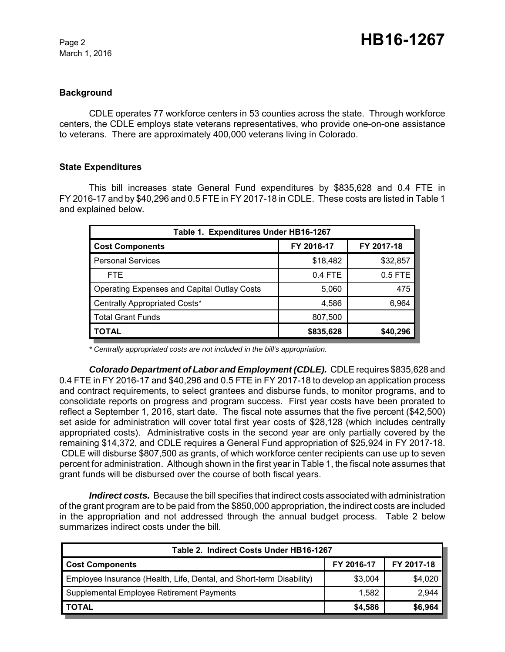March 1, 2016

#### **Background**

CDLE operates 77 workforce centers in 53 counties across the state. Through workforce centers, the CDLE employs state veterans representatives, who provide one-on-one assistance to veterans. There are approximately 400,000 veterans living in Colorado.

#### **State Expenditures**

This bill increases state General Fund expenditures by \$835,628 and 0.4 FTE in FY 2016-17 and by \$40,296 and 0.5 FTE in FY 2017-18 in CDLE. These costs are listed in Table 1 and explained below.

| Table 1. Expenditures Under HB16-1267              |            |            |  |  |  |  |
|----------------------------------------------------|------------|------------|--|--|--|--|
| <b>Cost Components</b>                             | FY 2016-17 | FY 2017-18 |  |  |  |  |
| <b>Personal Services</b>                           | \$18,482   | \$32,857   |  |  |  |  |
| FTE.                                               | $0.4$ FTE  | 0.5 FTE    |  |  |  |  |
| <b>Operating Expenses and Capital Outlay Costs</b> | 5,060      | 475        |  |  |  |  |
| Centrally Appropriated Costs*                      | 4,586      | 6,964      |  |  |  |  |
| <b>Total Grant Funds</b>                           | 807,500    |            |  |  |  |  |
| <b>TOTAL</b>                                       | \$835,628  | \$40,296   |  |  |  |  |

*\* Centrally appropriated costs are not included in the bill's appropriation.*

*Colorado Department of Labor and Employment (CDLE).* CDLE requires \$835,628 and 0.4 FTE in FY 2016-17 and \$40,296 and 0.5 FTE in FY 2017-18 to develop an application process and contract requirements, to select grantees and disburse funds, to monitor programs, and to consolidate reports on progress and program success. First year costs have been prorated to reflect a September 1, 2016, start date. The fiscal note assumes that the five percent (\$42,500) set aside for administration will cover total first year costs of \$28,128 (which includes centrally appropriated costs). Administrative costs in the second year are only partially covered by the remaining \$14,372, and CDLE requires a General Fund appropriation of \$25,924 in FY 2017-18. CDLE will disburse \$807,500 as grants, of which workforce center recipients can use up to seven percent for administration. Although shown in the first year in Table 1, the fiscal note assumes that grant funds will be disbursed over the course of both fiscal years.

*Indirect costs.* Because the bill specifies that indirect costs associated with administration of the grant program are to be paid from the \$850,000 appropriation, the indirect costs are included in the appropriation and not addressed through the annual budget process. Table 2 below summarizes indirect costs under the bill.

| Table 2. Indirect Costs Under HB16-1267                              |            |            |  |  |  |
|----------------------------------------------------------------------|------------|------------|--|--|--|
| <b>Cost Components</b>                                               | FY 2016-17 | FY 2017-18 |  |  |  |
| Employee Insurance (Health, Life, Dental, and Short-term Disability) | \$3,004    | \$4,020    |  |  |  |
| Supplemental Employee Retirement Payments                            | 1,582      | 2,944      |  |  |  |
| <b>TOTAL</b>                                                         | \$4,586    | \$6,964    |  |  |  |